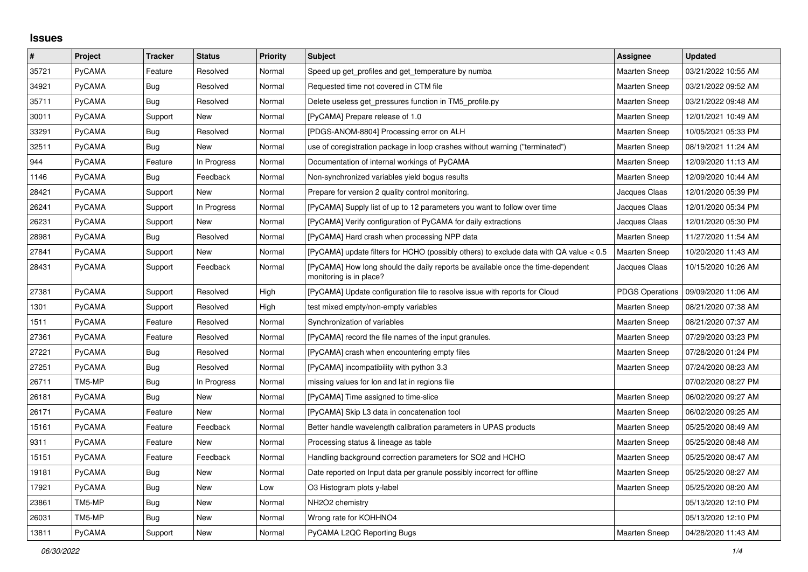## **Issues**

| $\vert$ # | Project       | <b>Tracker</b> | <b>Status</b> | <b>Priority</b> | <b>Subject</b>                                                                                             | Assignee               | <b>Updated</b>      |
|-----------|---------------|----------------|---------------|-----------------|------------------------------------------------------------------------------------------------------------|------------------------|---------------------|
| 35721     | PyCAMA        | Feature        | Resolved      | Normal          | Speed up get profiles and get temperature by numba                                                         | <b>Maarten Sneep</b>   | 03/21/2022 10:55 AM |
| 34921     | PyCAMA        | <b>Bug</b>     | Resolved      | Normal          | Requested time not covered in CTM file                                                                     | <b>Maarten Sneep</b>   | 03/21/2022 09:52 AM |
| 35711     | PyCAMA        | Bug            | Resolved      | Normal          | Delete useless get pressures function in TM5 profile.py                                                    | <b>Maarten Sneep</b>   | 03/21/2022 09:48 AM |
| 30011     | PyCAMA        | Support        | New           | Normal          | [PyCAMA] Prepare release of 1.0                                                                            | <b>Maarten Sneep</b>   | 12/01/2021 10:49 AM |
| 33291     | PyCAMA        | Bug            | Resolved      | Normal          | [PDGS-ANOM-8804] Processing error on ALH                                                                   | Maarten Sneep          | 10/05/2021 05:33 PM |
| 32511     | PyCAMA        | Bug            | New           | Normal          | use of coregistration package in loop crashes without warning ("terminated")                               | Maarten Sneep          | 08/19/2021 11:24 AM |
| 944       | PyCAMA        | Feature        | In Progress   | Normal          | Documentation of internal workings of PyCAMA                                                               | <b>Maarten Sneep</b>   | 12/09/2020 11:13 AM |
| 1146      | PyCAMA        | Bug            | Feedback      | Normal          | Non-synchronized variables yield bogus results                                                             | <b>Maarten Sneep</b>   | 12/09/2020 10:44 AM |
| 28421     | PyCAMA        | Support        | New           | Normal          | Prepare for version 2 quality control monitoring.                                                          | Jacques Claas          | 12/01/2020 05:39 PM |
| 26241     | PyCAMA        | Support        | In Progress   | Normal          | [PyCAMA] Supply list of up to 12 parameters you want to follow over time                                   | Jacques Claas          | 12/01/2020 05:34 PM |
| 26231     | PyCAMA        | Support        | <b>New</b>    | Normal          | [PyCAMA] Verify configuration of PyCAMA for daily extractions                                              | Jacques Claas          | 12/01/2020 05:30 PM |
| 28981     | PyCAMA        | <b>Bug</b>     | Resolved      | Normal          | [PyCAMA] Hard crash when processing NPP data                                                               | Maarten Sneep          | 11/27/2020 11:54 AM |
| 27841     | PyCAMA        | Support        | New           | Normal          | [PyCAMA] update filters for HCHO (possibly others) to exclude data with QA value < 0.5                     | <b>Maarten Sneep</b>   | 10/20/2020 11:43 AM |
| 28431     | PyCAMA        | Support        | Feedback      | Normal          | [PyCAMA] How long should the daily reports be available once the time-dependent<br>monitoring is in place? | Jacques Claas          | 10/15/2020 10:26 AM |
| 27381     | PyCAMA        | Support        | Resolved      | High            | [PyCAMA] Update configuration file to resolve issue with reports for Cloud                                 | <b>PDGS Operations</b> | 09/09/2020 11:06 AM |
| 1301      | PyCAMA        | Support        | Resolved      | High            | test mixed empty/non-empty variables                                                                       | <b>Maarten Sneep</b>   | 08/21/2020 07:38 AM |
| 1511      | PyCAMA        | Feature        | Resolved      | Normal          | Synchronization of variables                                                                               | <b>Maarten Sneep</b>   | 08/21/2020 07:37 AM |
| 27361     | PyCAMA        | Feature        | Resolved      | Normal          | [PyCAMA] record the file names of the input granules.                                                      | Maarten Sneep          | 07/29/2020 03:23 PM |
| 27221     | PyCAMA        | Bug            | Resolved      | Normal          | [PyCAMA] crash when encountering empty files                                                               | <b>Maarten Sneep</b>   | 07/28/2020 01:24 PM |
| 27251     | PyCAMA        | <b>Bug</b>     | Resolved      | Normal          | [PyCAMA] incompatibility with python 3.3                                                                   | Maarten Sneep          | 07/24/2020 08:23 AM |
| 26711     | TM5-MP        | Bug            | In Progress   | Normal          | missing values for lon and lat in regions file                                                             |                        | 07/02/2020 08:27 PM |
| 26181     | <b>PyCAMA</b> | <b>Bug</b>     | New           | Normal          | [PyCAMA] Time assigned to time-slice                                                                       | <b>Maarten Sneep</b>   | 06/02/2020 09:27 AM |
| 26171     | PyCAMA        | Feature        | New           | Normal          | [PyCAMA] Skip L3 data in concatenation tool                                                                | Maarten Sneep          | 06/02/2020 09:25 AM |
| 15161     | PyCAMA        | Feature        | Feedback      | Normal          | Better handle wavelength calibration parameters in UPAS products                                           | <b>Maarten Sneep</b>   | 05/25/2020 08:49 AM |
| 9311      | <b>PyCAMA</b> | Feature        | <b>New</b>    | Normal          | Processing status & lineage as table                                                                       | <b>Maarten Sneep</b>   | 05/25/2020 08:48 AM |
| 15151     | PyCAMA        | Feature        | Feedback      | Normal          | Handling background correction parameters for SO2 and HCHO                                                 | <b>Maarten Sneep</b>   | 05/25/2020 08:47 AM |
| 19181     | PyCAMA        | <b>Bug</b>     | New           | Normal          | Date reported on Input data per granule possibly incorrect for offline                                     | Maarten Sneep          | 05/25/2020 08:27 AM |
| 17921     | <b>PyCAMA</b> | Bug            | New           | Low             | O3 Histogram plots y-label                                                                                 | <b>Maarten Sneep</b>   | 05/25/2020 08:20 AM |
| 23861     | TM5-MP        | <b>Bug</b>     | New           | Normal          | NH2O2 chemistry                                                                                            |                        | 05/13/2020 12:10 PM |
| 26031     | TM5-MP        | <b>Bug</b>     | New           | Normal          | Wrong rate for KOHHNO4                                                                                     |                        | 05/13/2020 12:10 PM |
| 13811     | PyCAMA        | Support        | New           | Normal          | PyCAMA L2QC Reporting Bugs                                                                                 | <b>Maarten Sneep</b>   | 04/28/2020 11:43 AM |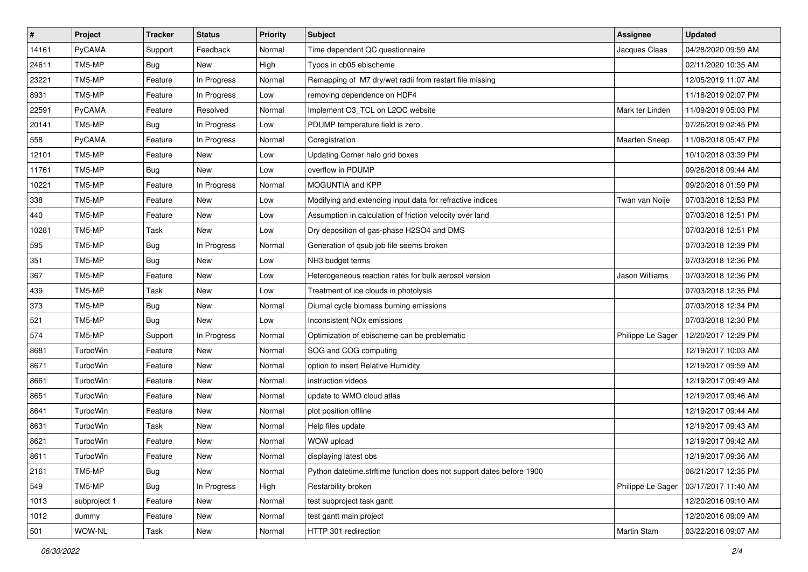| $\vert$ # | Project       | <b>Tracker</b> | <b>Status</b> | <b>Priority</b> | Subject                                                              | <b>Assignee</b>      | <b>Updated</b>      |
|-----------|---------------|----------------|---------------|-----------------|----------------------------------------------------------------------|----------------------|---------------------|
| 14161     | PyCAMA        | Support        | Feedback      | Normal          | Time dependent QC questionnaire                                      | Jacques Claas        | 04/28/2020 09:59 AM |
| 24611     | TM5-MP        | <b>Bug</b>     | New           | High            | Typos in cb05 ebischeme                                              |                      | 02/11/2020 10:35 AM |
| 23221     | TM5-MP        | Feature        | In Progress   | Normal          | Remapping of M7 dry/wet radii from restart file missing              |                      | 12/05/2019 11:07 AM |
| 8931      | TM5-MP        | Feature        | In Progress   | Low             | removing dependence on HDF4                                          |                      | 11/18/2019 02:07 PM |
| 22591     | <b>PyCAMA</b> | Feature        | Resolved      | Normal          | Implement O3_TCL on L2QC website                                     | Mark ter Linden      | 11/09/2019 05:03 PM |
| 20141     | TM5-MP        | Bug            | In Progress   | Low             | PDUMP temperature field is zero                                      |                      | 07/26/2019 02:45 PM |
| 558       | PyCAMA        | Feature        | In Progress   | Normal          | Coregistration                                                       | <b>Maarten Sneep</b> | 11/06/2018 05:47 PM |
| 12101     | TM5-MP        | Feature        | New           | Low             | Updating Corner halo grid boxes                                      |                      | 10/10/2018 03:39 PM |
| 11761     | TM5-MP        | <b>Bug</b>     | New           | Low             | overflow in PDUMP                                                    |                      | 09/26/2018 09:44 AM |
| 10221     | TM5-MP        | Feature        | In Progress   | Normal          | MOGUNTIA and KPP                                                     |                      | 09/20/2018 01:59 PM |
| 338       | TM5-MP        | Feature        | New           | Low             | Modifying and extending input data for refractive indices            | Twan van Noije       | 07/03/2018 12:53 PM |
| 440       | TM5-MP        | Feature        | <b>New</b>    | Low             | Assumption in calculation of friction velocity over land             |                      | 07/03/2018 12:51 PM |
| 10281     | TM5-MP        | Task           | New           | Low             | Dry deposition of gas-phase H2SO4 and DMS                            |                      | 07/03/2018 12:51 PM |
| 595       | TM5-MP        | <b>Bug</b>     | In Progress   | Normal          | Generation of gsub job file seems broken                             |                      | 07/03/2018 12:39 PM |
| 351       | TM5-MP        | <b>Bug</b>     | New           | Low             | NH3 budget terms                                                     |                      | 07/03/2018 12:36 PM |
| 367       | TM5-MP        | Feature        | New           | Low             | Heterogeneous reaction rates for bulk aerosol version                | Jason Williams       | 07/03/2018 12:36 PM |
| 439       | TM5-MP        | Task           | New           | Low             | Treatment of ice clouds in photolysis                                |                      | 07/03/2018 12:35 PM |
| 373       | TM5-MP        | <b>Bug</b>     | New           | Normal          | Diurnal cycle biomass burning emissions                              |                      | 07/03/2018 12:34 PM |
| 521       | TM5-MP        | <b>Bug</b>     | New           | Low             | Inconsistent NO <sub>x</sub> emissions                               |                      | 07/03/2018 12:30 PM |
| 574       | TM5-MP        | Support        | In Progress   | Normal          | Optimization of ebischeme can be problematic                         | Philippe Le Sager    | 12/20/2017 12:29 PM |
| 8681      | TurboWin      | Feature        | New           | Normal          | SOG and COG computing                                                |                      | 12/19/2017 10:03 AM |
| 8671      | TurboWin      | Feature        | New           | Normal          | option to insert Relative Humidity                                   |                      | 12/19/2017 09:59 AM |
| 8661      | TurboWin      | Feature        | New           | Normal          | instruction videos                                                   |                      | 12/19/2017 09:49 AM |
| 8651      | TurboWin      | Feature        | New           | Normal          | update to WMO cloud atlas                                            |                      | 12/19/2017 09:46 AM |
| 8641      | TurboWin      | Feature        | New           | Normal          | plot position offline                                                |                      | 12/19/2017 09:44 AM |
| 8631      | TurboWin      | Task           | New           | Normal          | Help files update                                                    |                      | 12/19/2017 09:43 AM |
| 8621      | TurboWin      | Feature        | New           | Normal          | WOW upload                                                           |                      | 12/19/2017 09:42 AM |
| 8611      | TurboWin      | Feature        | New           | Normal          | displaying latest obs                                                |                      | 12/19/2017 09:36 AM |
| 2161      | TM5-MP        | Bug            | New           | Normal          | Python datetime.strftime function does not support dates before 1900 |                      | 08/21/2017 12:35 PM |
| 549       | TM5-MP        | <b>Bug</b>     | In Progress   | High            | Restarbility broken                                                  | Philippe Le Sager    | 03/17/2017 11:40 AM |
| 1013      | subproject 1  | Feature        | New           | Normal          | test subproject task gantt                                           |                      | 12/20/2016 09:10 AM |
| 1012      | dummy         | Feature        | New           | Normal          | test gantt main project                                              |                      | 12/20/2016 09:09 AM |
| 501       | WOW-NL        | Task           | New           | Normal          | HTTP 301 redirection                                                 | Martin Stam          | 03/22/2016 09:07 AM |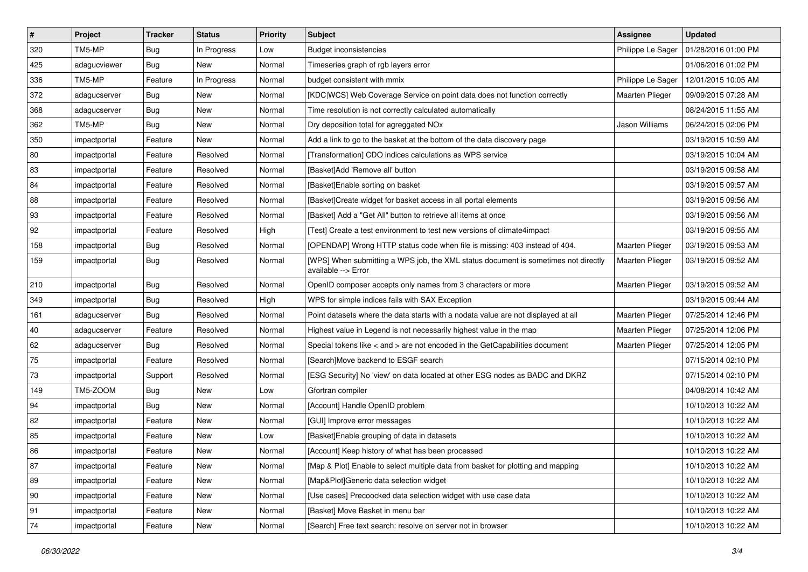| $\vert$ #    | Project      | <b>Tracker</b> | <b>Status</b> | <b>Priority</b> | <b>Subject</b>                                                                                            | Assignee               | <b>Updated</b>      |
|--------------|--------------|----------------|---------------|-----------------|-----------------------------------------------------------------------------------------------------------|------------------------|---------------------|
| 320          | TM5-MP       | Bug            | In Progress   | Low             | <b>Budget inconsistencies</b>                                                                             | Philippe Le Sager      | 01/28/2016 01:00 PM |
| 425          | adagucviewer | Bug            | <b>New</b>    | Normal          | Timeseries graph of rgb layers error                                                                      |                        | 01/06/2016 01:02 PM |
| 336          | TM5-MP       | Feature        | In Progress   | Normal          | budget consistent with mmix                                                                               | Philippe Le Sager      | 12/01/2015 10:05 AM |
| 372          | adagucserver | <b>Bug</b>     | New           | Normal          | [KDC WCS] Web Coverage Service on point data does not function correctly                                  | <b>Maarten Plieger</b> | 09/09/2015 07:28 AM |
| 368          | adagucserver | <b>Bug</b>     | <b>New</b>    | Normal          | Time resolution is not correctly calculated automatically                                                 |                        | 08/24/2015 11:55 AM |
| 362          | TM5-MP       | <b>Bug</b>     | New           | Normal          | Dry deposition total for agreggated NOx                                                                   | Jason Williams         | 06/24/2015 02:06 PM |
| 350          | impactportal | Feature        | <b>New</b>    | Normal          | Add a link to go to the basket at the bottom of the data discovery page                                   |                        | 03/19/2015 10:59 AM |
| 80           | impactportal | Feature        | Resolved      | Normal          | [Transformation] CDO indices calculations as WPS service                                                  |                        | 03/19/2015 10:04 AM |
| 83           | impactportal | Feature        | Resolved      | Normal          | [Basket]Add 'Remove all' button                                                                           |                        | 03/19/2015 09:58 AM |
| 84           | impactportal | Feature        | Resolved      | Normal          | [Basket]Enable sorting on basket                                                                          |                        | 03/19/2015 09:57 AM |
| 88           | impactportal | Feature        | Resolved      | Normal          | [Basket]Create widget for basket access in all portal elements                                            |                        | 03/19/2015 09:56 AM |
| 93           | impactportal | Feature        | Resolved      | Normal          | [Basket] Add a "Get All" button to retrieve all items at once                                             |                        | 03/19/2015 09:56 AM |
| 92           | impactportal | Feature        | Resolved      | High            | [Test] Create a test environment to test new versions of climate4impact                                   |                        | 03/19/2015 09:55 AM |
| 158          | impactportal | <b>Bug</b>     | Resolved      | Normal          | [OPENDAP] Wrong HTTP status code when file is missing: 403 instead of 404.                                | Maarten Plieger        | 03/19/2015 09:53 AM |
| 159          | impactportal | <b>Bug</b>     | Resolved      | Normal          | [WPS] When submitting a WPS job, the XML status document is sometimes not directly<br>available --> Error | Maarten Plieger        | 03/19/2015 09:52 AM |
| 210          | impactportal | <b>Bug</b>     | Resolved      | Normal          | OpenID composer accepts only names from 3 characters or more                                              | Maarten Plieger        | 03/19/2015 09:52 AM |
| 349          | impactportal | <b>Bug</b>     | Resolved      | High            | WPS for simple indices fails with SAX Exception                                                           |                        | 03/19/2015 09:44 AM |
| 161          | adagucserver | <b>Bug</b>     | Resolved      | Normal          | Point datasets where the data starts with a nodata value are not displayed at all                         | <b>Maarten Plieger</b> | 07/25/2014 12:46 PM |
| 40           | adagucserver | Feature        | Resolved      | Normal          | Highest value in Legend is not necessarily highest value in the map                                       | Maarten Plieger        | 07/25/2014 12:06 PM |
| 62           | adagucserver | <b>Bug</b>     | Resolved      | Normal          | Special tokens like $\lt$ and $\gt$ are not encoded in the GetCapabilities document                       | Maarten Plieger        | 07/25/2014 12:05 PM |
| 75           | impactportal | Feature        | Resolved      | Normal          | [Search]Move backend to ESGF search                                                                       |                        | 07/15/2014 02:10 PM |
| 73           | impactportal | Support        | Resolved      | Normal          | [ESG Security] No 'view' on data located at other ESG nodes as BADC and DKRZ                              |                        | 07/15/2014 02:10 PM |
| 149          | TM5-ZOOM     | <b>Bug</b>     | New           | Low             | Gfortran compiler                                                                                         |                        | 04/08/2014 10:42 AM |
| 94           | impactportal | <b>Bug</b>     | New           | Normal          | [Account] Handle OpenID problem                                                                           |                        | 10/10/2013 10:22 AM |
| 82           | impactportal | Feature        | New           | Normal          | [GUI] Improve error messages                                                                              |                        | 10/10/2013 10:22 AM |
| 85           | impactportal | Feature        | New           | Low             | [Basket]Enable grouping of data in datasets                                                               |                        | 10/10/2013 10:22 AM |
| 86           | impactportal | Feature        | New           | Normal          | [Account] Keep history of what has been processed                                                         |                        | 10/10/2013 10:22 AM |
| 87           | impactportal | Feature        | <b>New</b>    | Normal          | [Map & Plot] Enable to select multiple data from basket for plotting and mapping                          |                        | 10/10/2013 10:22 AM |
| 89           | impactportal | Feature        | New           | Normal          | [Map&Plot]Generic data selection widget                                                                   |                        | 10/10/2013 10:22 AM |
| $ 90\rangle$ | impactportal | Feature        | <b>New</b>    | Normal          | [Use cases] Precoocked data selection widget with use case data                                           |                        | 10/10/2013 10:22 AM |
| 91           | impactportal | Feature        | New           | Normal          | [Basket] Move Basket in menu bar                                                                          |                        | 10/10/2013 10:22 AM |
| 74           | impactportal | Feature        | New           | Normal          | [Search] Free text search: resolve on server not in browser                                               |                        | 10/10/2013 10:22 AM |